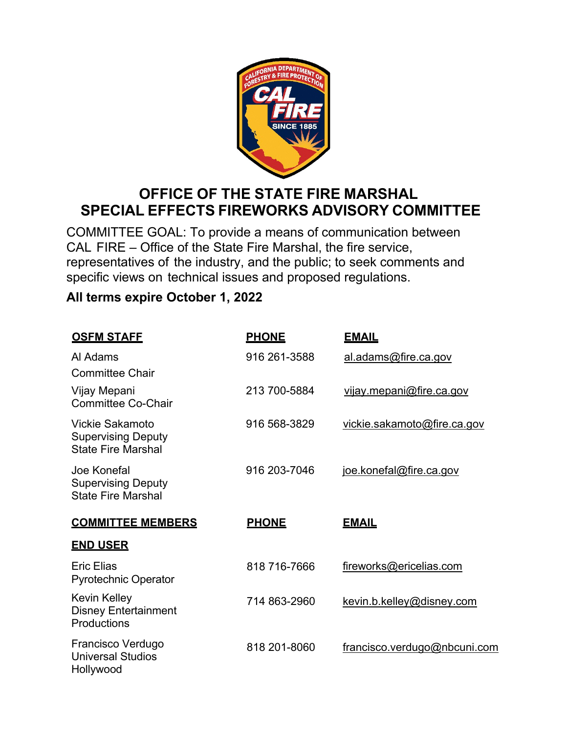

## **OFFICE OF THE STATE FIRE MARSHAL SPECIAL EFFECTS FIREWORKS ADVISORY COMMITTEE**

COMMITTEE GOAL: To provide a means of communication between CAL FIRE – Office of the State Fire Marshal, the fire service, representatives of the industry, and the public; to seek comments and specific views on technical issues and proposed regulations.

## **All terms expire October 1, 2022**

| <b>OSFM STAFE</b>                                                                | <b>PHONE</b> | <b>EMAIL</b>                    |
|----------------------------------------------------------------------------------|--------------|---------------------------------|
| Al Adams<br><b>Committee Chair</b>                                               | 916 261-3588 | al.adams@fire.ca.gov            |
| Vijay Mepani<br><b>Committee Co-Chair</b>                                        | 213 700-5884 | <u>vijay.mepani@fire.ca.gov</u> |
| <b>Vickie Sakamoto</b><br><b>Supervising Deputy</b><br><b>State Fire Marshal</b> | 916 568-3829 | vickie.sakamoto@fire.ca.gov     |
| Joe Konefal<br><b>Supervising Deputy</b><br><b>State Fire Marshal</b>            | 916 203-7046 | joe.konefal@fire.ca.gov         |
|                                                                                  |              |                                 |
| <b>COMMITTEE MEMBERS</b>                                                         | <b>PHONE</b> | <b>EMAIL</b>                    |
| <b>END USER</b>                                                                  |              |                                 |
| <b>Eric Elias</b><br><b>Pyrotechnic Operator</b>                                 | 818 716-7666 | fireworks@ericelias.com         |
| <b>Kevin Kelley</b><br><b>Disney Entertainment</b><br>Productions                | 714 863-2960 | kevin.b.kelley@disney.com       |